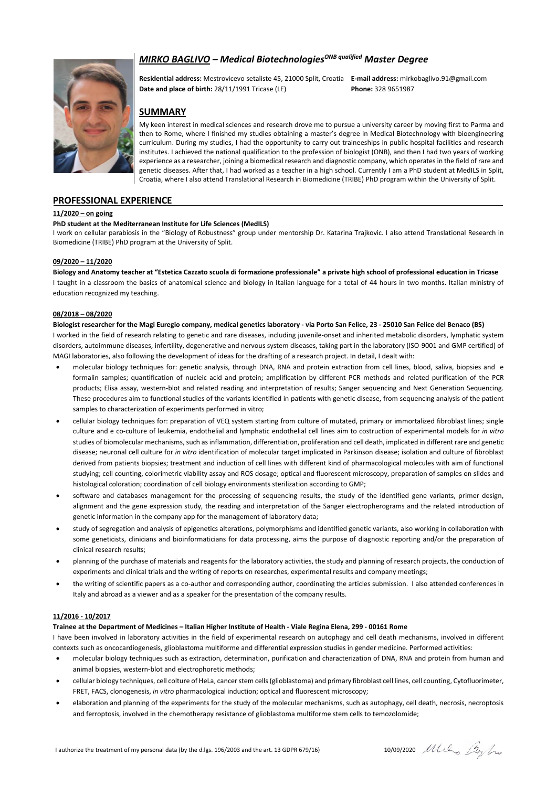# *MIRKO BAGLIVO* – *Medical Biotechnologies<sup>ONB qualified* Master Degree</sup>



**Residential address:** Mestrovicevo setaliste 45, 21000 Split, Croatia **E-mail address:** mirkobaglivo.91@gmail.com **Date and place of birth:** 28/11/1991 Tricase (LE) **Phone:** 328 9651987

# **SUMMARY**

My keen interest in medical sciences and research drove me to pursue a university career by moving first to Parma and then to Rome, where I finished my studies obtaining a master's degree in Medical Biotechnology with bioengineering curriculum. During my studies, I had the opportunity to carry out traineeships in public hospital facilities and research institutes. I achieved the national qualification to the profession of biologist (ONB), and then I had two years of working experience as a researcher, joining a biomedical research and diagnostic company, which operates in the field of rare and genetic diseases. After that, I had worked as a teacher in a high school. Currently I am a PhD student at MedILS in Split, Croatia, where I also attend Translational Research in Biomedicine (TRIBE) PhD program within the University of Split.

## **PROFESSIONAL EXPERIENCE**

#### **11/2020 – on going**

#### **PhD student at the Mediterranean Institute for Life Sciences (MedILS)**

I work on cellular parabiosis in the "Biology of Robustness" group under mentorship Dr. Katarina Trajkovic. I also attend Translational Research in Biomedicine (TRIBE) PhD program at the University of Split.

### **09/2020 – 11/2020**

#### **Biology and Anatomy teacher at "Estetica Cazzato scuola di formazione professionale" a private high school of professional education in Tricase**

I taught in a classroom the basics of anatomical science and biology in Italian language for a total of 44 hours in two months. Italian ministry of education recognized my teaching.

#### **08/2018 – 08/2020**

#### **Biologist researcher for the Magi Euregio company, medical genetics laboratory - via Porto San Felice, 23 - 25010 San Felice del Benaco (BS)**

I worked in the field of research relating to genetic and rare diseases, including juvenile-onset and inherited metabolic disorders, lymphatic system disorders, autoimmune diseases, infertility, degenerative and nervous system diseases, taking part in the laboratory (ISO-9001 and GMP certified) of MAGI laboratories, also following the development of ideas for the drafting of a research project. In detail, I dealt with:

- molecular biology techniques for: genetic analysis, through DNA, RNA and protein extraction from cell lines, blood, saliva, biopsies and e formalin samples; quantification of nucleic acid and protein; amplification by different PCR methods and related purification of the PCR products; Elisa assay, western-blot and related reading and interpretation of results; Sanger sequencing and Next Generation Sequencing. These procedures aim to functional studies of the variants identified in patients with genetic disease, from sequencing analysis of the patient samples to characterization of experiments performed in vitro;
- cellular biology techniques for: preparation of VEQ system starting from culture of mutated, primary or immortalized fibroblast lines; single culture and e co-culture of leukemia, endothelial and lymphatic endothelial cell lines aim to costruction of experimental models for *in vitro* studies of biomolecular mechanisms, such as inflammation, differentiation, proliferation and cell death, implicated in different rare and genetic disease; neuronal cell culture for *in vitro* identification of molecular target implicated in Parkinson disease; isolation and culture of fibroblast derived from patients biopsies; treatment and induction of cell lines with different kind of pharmacological molecules with aim of functional studying; cell counting, colorimetric viability assay and ROS dosage; optical and fluorescent microscopy, preparation of samples on slides and histological coloration; coordination of cell biology environments sterilization according to GMP;
- software and databases management for the processing of sequencing results, the study of the identified gene variants, primer design, alignment and the gene expression study, the reading and interpretation of the Sanger electropherograms and the related introduction of genetic information in the company app for the management of laboratory data;
- study of segregation and analysis of epigenetics alterations, polymorphisms and identified genetic variants, also working in collaboration with some geneticists, clinicians and bioinformaticians for data processing, aims the purpose of diagnostic reporting and/or the preparation of clinical research results;
- planning of the purchase of materials and reagents for the laboratory activities, the study and planning of research projects, the conduction of experiments and clinical trials and the writing of reports on researches, experimental results and company meetings;
- the writing of scientific papers as a co-author and corresponding author, coordinating the articles submission. I also attended conferences in Italy and abroad as a viewer and as a speaker for the presentation of the company results.

#### **11/2016 - 10/2017**

#### **Trainee at the Department of Medicines – Italian Higher Institute of Health - Viale Regina Elena, 299 - 00161 Rome**

I have been involved in laboratory activities in the field of experimental research on autophagy and cell death mechanisms, involved in different contexts such as oncocardiogenesis, glioblastoma multiforme and differential expression studies in gender medicine. Performed activities:

- molecular biology techniques such as extraction, determination, purification and characterization of DNA, RNA and protein from human and animal biopsies, western-blot and electrophoretic methods;
- cellular biology techniques, cell colture of HeLa, cancer stem cells (glioblastoma) and primary fibroblast cell lines, cell counting, Cytofluorimeter, FRET, FACS, clonogenesis, *in vitro* pharmacological induction; optical and fluorescent microscopy;
- elaboration and planning of the experiments for the study of the molecular mechanisms, such as autophagy, cell death, necrosis, necroptosis and ferroptosis, involved in the chemotherapy resistance of glioblastoma multiforme stem cells to temozolomide;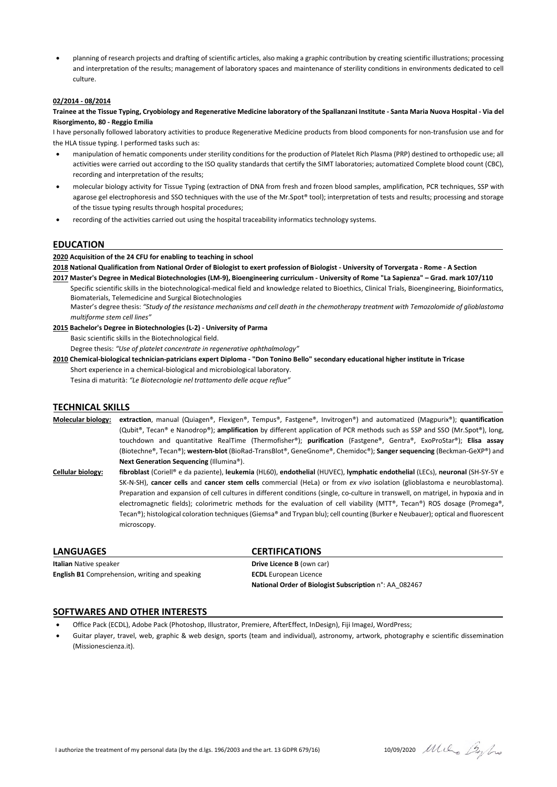• planning of research projects and drafting of scientific articles, also making a graphic contribution by creating scientific illustrations; processing and interpretation of the results; management of laboratory spaces and maintenance of sterility conditions in environments dedicated to cell culture.

#### **02/2014 - 08/2014**

**Trainee at the Tissue Typing, Cryobiology and Regenerative Medicine laboratory of the Spallanzani Institute - Santa Maria Nuova Hospital - Via del Risorgimento, 80 - Reggio Emilia**

I have personally followed laboratory activities to produce Regenerative Medicine products from blood components for non-transfusion use and for the HLA tissue typing. I performed tasks such as:

- manipulation of hematic components under sterility conditions for the production of Platelet Rich Plasma (PRP) destined to orthopedic use; all activities were carried out according to the ISO quality standards that certify the SIMT laboratories; automatized Complete blood count (CBC), recording and interpretation of the results;
- molecular biology activity for Tissue Typing (extraction of DNA from fresh and frozen blood samples, amplification, PCR techniques, SSP with agarose gel electrophoresis and SSO techniques with the use of the Mr.Spot® tool); interpretation of tests and results; processing and storage of the tissue typing results through hospital procedures;
- recording of the activities carried out using the hospital traceability informatics technology systems.

### **EDUCATION**

**2020 Acquisition of the 24 CFU for enabling to teaching in school**

**2018 National Qualification from National Order of Biologist to exert profession of Biologist - University of Torvergata - Rome - A Section**

**2017 Master's Degree in Medical Biotechnologies (LM-9), Bioengineering curriculum - University of Rome "La Sapienza" – Grad. mark 107/110**

Specific scientific skills in the biotechnological-medical field and knowledge related to Bioethics, Clinical Trials, Bioengineering, Bioinformatics, Biomaterials, Telemedicine and Surgical Biotechnologies

Master's degree thesis: *"Study of the resistance mechanisms and cell death in the chemotherapy treatment with Temozolomide of glioblastoma multiforme stem cell lines"*

**2015 Bachelor's Degree in Biotechnologies (L-2) - University of Parma**

Basic scientific skills in the Biotechnological field.

Degree thesis: *"Use of platelet concentrate in regenerative ophthalmology"*

**2010 Chemical-biological technician-patricians expert Diploma - "Don Tonino Bello" secondary educational higher institute in Tricase** Short experience in a chemical-biological and microbiological laboratory. Tesina di maturità: *"Le Biotecnologie nel trattamento delle acque reflue"*

# **TECHNICAL SKILLS**

**Molecular biology: extraction**, manual (Quiagen®, Flexigen®, Tempus®, Fastgene®, Invitrogen®) and automatized (Magpurix®); **quantification** (Qubit®, Tecan® e Nanodrop®); **amplification** by different application of PCR methods such as SSP and SSO (Mr.Spot®), long, touchdown and quantitative RealTime (Thermofisher®); **purification** (Fastgene®, Gentra®, ExoProStar®); **Elisa assay** (Biotechne®, Tecan®); **western-blot** (BioRad-TransBlot®, GeneGnome®, Chemidoc®); **Sanger sequencing** (Beckman-GeXP®) and **Next Generation Sequencing** (Illumina®).

**Cellular biology: fibroblast** (Coriell® e da paziente), **leukemia** (HL60), **endothelial** (HUVEC), **lymphatic endothelial** (LECs), **neuronal** (SH-SY-5Y e SK-N-SH), **cancer cells** and **cancer stem cells** commercial (HeLa) or from *ex vivo* isolation (glioblastoma e neuroblastoma). Preparation and expansion of cell cultures in different conditions (single, co-culture in transwell, on matrigel, in hypoxia and in electromagnetic fields); colorimetric methods for the evaluation of cell viability (MTT®, Tecan®) ROS dosage (Promega®, Tecan®); histological coloration techniques(Giemsa® and Trypan blu); cell counting (Burker e Neubauer); optical and fluorescent microscopy.

**LANGUAGES CERTIFICATIONS Italian** Native speaker **Drive Licence B** (own car) **English B1** Comprehension, writing and speaking **ECDL** European Licence

**National Order of Biologist Subscription** n°: AA\_082467

#### **SOFTWARES AND OTHER INTERESTS**

- Office Pack (ECDL), Adobe Pack (Photoshop, Illustrator, Premiere, AfterEffect, InDesign), Fiji ImageJ, WordPress;
- Guitar player, travel, web, graphic & web design, sports (team and individual), astronomy, artwork, photography e scientific dissemination (Missionescienza.it).

I authorize the treatment of my personal data (by the d.lgs. 196/2003 and the art. 13 GDPR 679/16) 10/09/2020  $\mu$